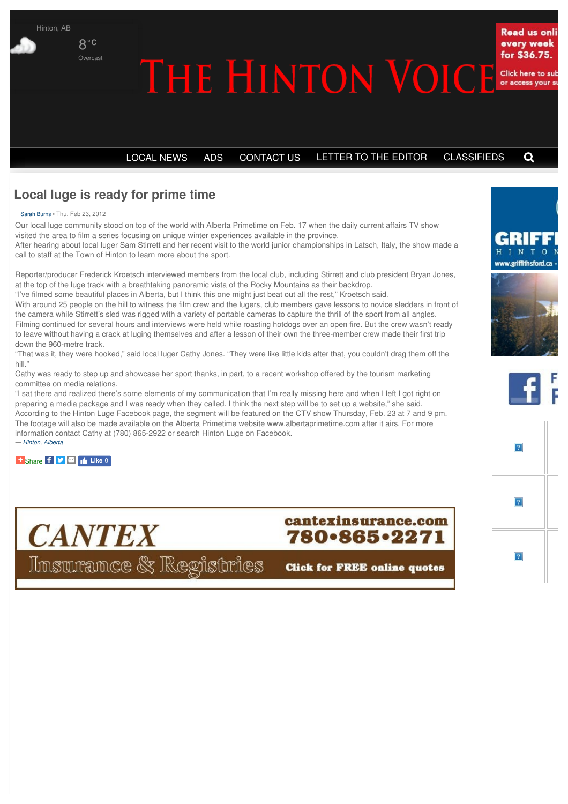

# **Local luge is ready for prime time**

Sarah Burns • Thu, Feb 23, 2012

Our local luge community stood on top of the world with Alberta Primetime on Feb. 17 when the daily current affairs TV show visited the area to film a series focusing on unique winter experiences available in the province.

After hearing about local luger Sam Stirrett and her recent visit to the world junior championships in Latsch, Italy, the show made a call to staff at the Town of Hinton to learn more about the sport.

Reporter/producer Frederick Kroetsch interviewed members from the local club, including Stirrett and club president Bryan Jones, at the top of the luge track with a breathtaking panoramic vista of the Rocky Mountains as their backdrop.

"I've filmed some beautiful places in Alberta, but I think this one might just beat out all the rest," Kroetsch said.

With around 25 people on the hill to witness the film crew and the lugers, club members gave lessons to novice sledders in front of the camera while Stirrett's sled was rigged with a variety of portable cameras to capture the thrill of the sport from all angles. Filming continued for several hours and interviews were held while roasting hotdogs over an open fire. But the crew wasn't ready to leave without having a crack at luging themselves and after a lesson of their own the three-member crew made their first trip down the 960-metre track.

"That was it, they were hooked," said local luger Cathy Jones. "They were like little kids after that, you couldn't drag them off the hill."

Cathy was ready to step up and showcase her sport thanks, in part, to a recent workshop offered by the tourism marketing committee on media relations.

"I sat there and realized there's some elements of my communication that I'm really missing here and when I left I got right on preparing a media package and I was ready when they called. I think the next step will be to set up a website," she said. According to the Hinton Luge Facebook page, the segment will be featured on the CTV show Thursday, Feb. 23 at 7 and 9 pm. The footage will also be made available on the Alberta Primetime website www.albertaprimetime.com after it airs. For more information contact Cathy at (780) 865-2922 or search Hinton Luge on Facebook. *— Hinton, Alberta*

**[Share](http://addthis.com/bookmark.php?v=250) <b>Like** 0



cantexinsurance.com 780-865-2271

**Click for FREE online quotes**